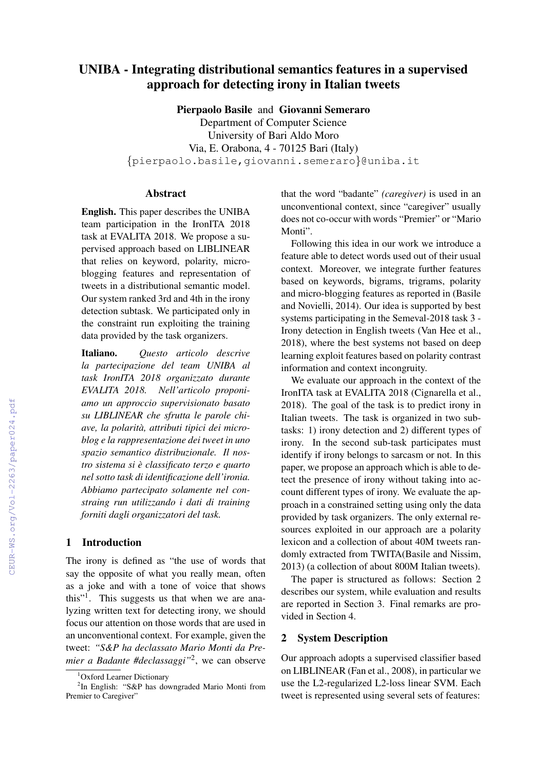# UNIBA - Integrating distributional semantics features in a supervised approach for detecting irony in Italian tweets

Pierpaolo Basile and Giovanni Semeraro

Department of Computer Science University of Bari Aldo Moro Via, E. Orabona, 4 - 70125 Bari (Italy) {pierpaolo.basile,giovanni.semeraro}@uniba.it

# Abstract

English. This paper describes the UNIBA team participation in the IronITA 2018 task at EVALITA 2018. We propose a supervised approach based on LIBLINEAR that relies on keyword, polarity, microblogging features and representation of tweets in a distributional semantic model. Our system ranked 3rd and 4th in the irony detection subtask. We participated only in the constraint run exploiting the training data provided by the task organizers.

Italiano. *Questo articolo descrive la partecipazione del team UNIBA al task IronITA 2018 organizzato durante EVALITA 2018. Nell'articolo proponiamo un approccio supervisionato basato su LIBLINEAR che sfrutta le parole chiave, la polarita, attributi tipici dei micro- ` blog e la rappresentazione dei tweet in uno spazio semantico distribuzionale. Il nostro sistema si e classificato terzo e quarto ` nel sotto task di identificazione dell'ironia. Abbiamo partecipato solamente nel constraing run utilizzando i dati di training forniti dagli organizzatori del task.*

### 1 Introduction

The irony is defined as "the use of words that say the opposite of what you really mean, often as a joke and with a tone of voice that shows this"<sup>1</sup> . This suggests us that when we are analyzing written text for detecting irony, we should focus our attention on those words that are used in an unconventional context. For example, given the tweet: *"S&P ha declassato Mario Monti da Premier a Badante #declassaggi"*<sup>2</sup> , we can observe

that the word "badante" *(caregiver)* is used in an unconventional context, since "caregiver" usually does not co-occur with words "Premier" or "Mario Monti".

Following this idea in our work we introduce a feature able to detect words used out of their usual context. Moreover, we integrate further features based on keywords, bigrams, trigrams, polarity and micro-blogging features as reported in (Basile and Novielli, 2014). Our idea is supported by best systems participating in the Semeval-2018 task 3 - Irony detection in English tweets (Van Hee et al., 2018), where the best systems not based on deep learning exploit features based on polarity contrast information and context incongruity.

We evaluate our approach in the context of the IronITA task at EVALITA 2018 (Cignarella et al., 2018). The goal of the task is to predict irony in Italian tweets. The task is organized in two subtasks: 1) irony detection and 2) different types of irony. In the second sub-task participates must identify if irony belongs to sarcasm or not. In this paper, we propose an approach which is able to detect the presence of irony without taking into account different types of irony. We evaluate the approach in a constrained setting using only the data provided by task organizers. The only external resources exploited in our approach are a polarity lexicon and a collection of about 40M tweets randomly extracted from TWITA(Basile and Nissim, 2013) (a collection of about 800M Italian tweets).

The paper is structured as follows: Section 2 describes our system, while evaluation and results are reported in Section 3. Final remarks are provided in Section 4.

#### 2 System Description

Our approach adopts a supervised classifier based on LIBLINEAR (Fan et al., 2008), in particular we use the L2-regularized L2-loss linear SVM. Each tweet is represented using several sets of features:

<sup>&</sup>lt;sup>1</sup>Oxford Learner Dictionary

<sup>&</sup>lt;sup>2</sup>In English: "S&P has downgraded Mario Monti from Premier to Caregiver"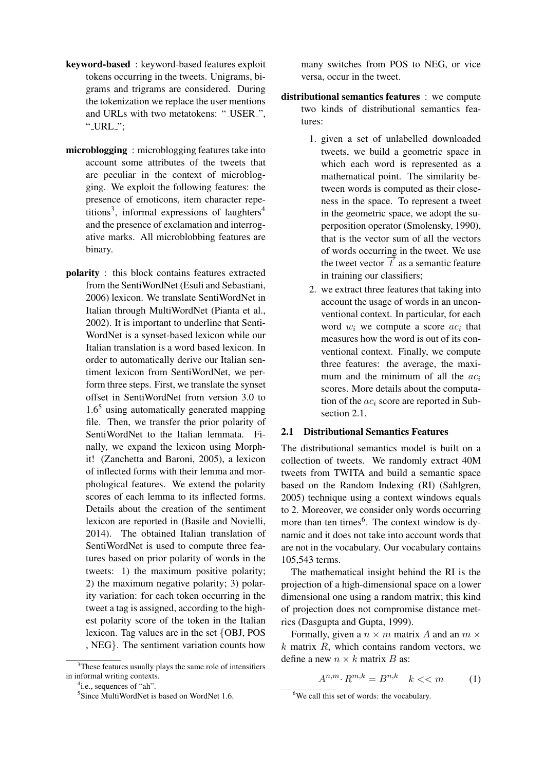- keyword-based : keyword-based features exploit tokens occurring in the tweets. Unigrams, bigrams and trigrams are considered. During the tokenization we replace the user mentions and URLs with two metatokens: "\_USER\_", " $\text{URL}$ ";
- microblogging : microblogging features take into account some attributes of the tweets that are peculiar in the context of microblogging. We exploit the following features: the presence of emoticons, item character repetitions<sup>3</sup>, informal expressions of laughters<sup>4</sup> and the presence of exclamation and interrogative marks. All microblobbing features are binary.
- polarity : this block contains features extracted from the SentiWordNet (Esuli and Sebastiani, 2006) lexicon. We translate SentiWordNet in Italian through MultiWordNet (Pianta et al., 2002). It is important to underline that Senti-WordNet is a synset-based lexicon while our Italian translation is a word based lexicon. In order to automatically derive our Italian sentiment lexicon from SentiWordNet, we perform three steps. First, we translate the synset offset in SentiWordNet from version 3.0 to  $1.6<sup>5</sup>$  using automatically generated mapping file. Then, we transfer the prior polarity of SentiWordNet to the Italian lemmata. Finally, we expand the lexicon using Morphit! (Zanchetta and Baroni, 2005), a lexicon of inflected forms with their lemma and morphological features. We extend the polarity scores of each lemma to its inflected forms. Details about the creation of the sentiment lexicon are reported in (Basile and Novielli, 2014). The obtained Italian translation of SentiWordNet is used to compute three features based on prior polarity of words in the tweets: 1) the maximum positive polarity; 2) the maximum negative polarity; 3) polarity variation: for each token occurring in the tweet a tag is assigned, according to the highest polarity score of the token in the Italian lexicon. Tag values are in the set {OBJ, POS , NEG}. The sentiment variation counts how

many switches from POS to NEG, or vice versa, occur in the tweet.

- distributional semantics features : we compute two kinds of distributional semantics features:
	- 1. given a set of unlabelled downloaded tweets, we build a geometric space in which each word is represented as a mathematical point. The similarity between words is computed as their closeness in the space. To represent a tweet in the geometric space, we adopt the superposition operator (Smolensky, 1990), that is the vector sum of all the vectors of words occurring in the tweet. We use the tweet vector  $\overrightarrow{t}$  as a semantic feature in training our classifiers;
	- 2. we extract three features that taking into account the usage of words in an unconventional context. In particular, for each word  $w_i$  we compute a score  $ac_i$  that measures how the word is out of its conventional context. Finally, we compute three features: the average, the maximum and the minimum of all the  $ac_i$ scores. More details about the computation of the  $ac_i$  score are reported in Subsection 2.1.

#### 2.1 Distributional Semantics Features

The distributional semantics model is built on a collection of tweets. We randomly extract 40M tweets from TWITA and build a semantic space based on the Random Indexing (RI) (Sahlgren, 2005) technique using a context windows equals to 2. Moreover, we consider only words occurring more than ten times<sup>6</sup>. The context window is dynamic and it does not take into account words that are not in the vocabulary. Our vocabulary contains 105,543 terms.

The mathematical insight behind the RI is the projection of a high-dimensional space on a lower dimensional one using a random matrix; this kind of projection does not compromise distance metrics (Dasgupta and Gupta, 1999).

Formally, given a  $n \times m$  matrix A and an  $m \times$  $k$  matrix  $R$ , which contains random vectors, we define a new  $n \times k$  matrix B as:

$$
A^{n,m} \cdot R^{m,k} = B^{n,k} \quad k < m \tag{1}
$$

<sup>&</sup>lt;sup>3</sup>These features usually plays the same role of intensifiers in informal writing contexts.

<sup>&</sup>lt;sup>4</sup>i.e., sequences of "ah".

<sup>&</sup>lt;sup>5</sup>Since MultiWordNet is based on WordNet 1.6.

<sup>&</sup>lt;sup>6</sup>We call this set of words: the vocabulary.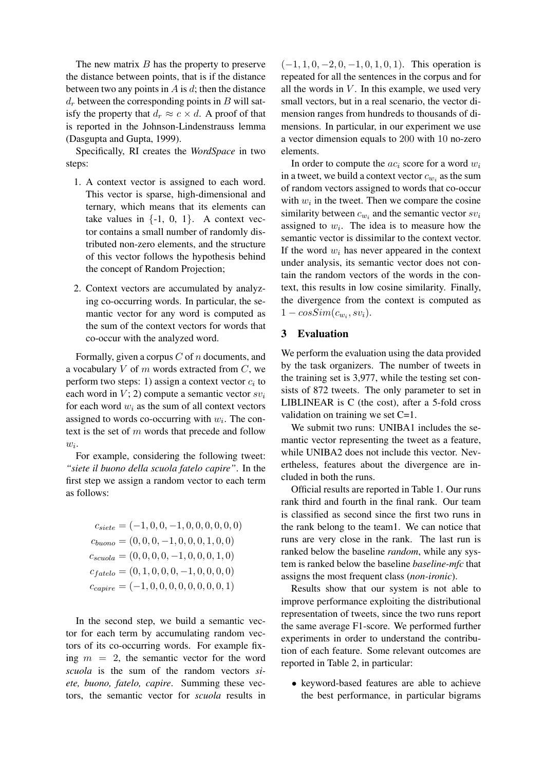The new matrix  $B$  has the property to preserve the distance between points, that is if the distance between two any points in  $A$  is  $d$ ; then the distance  $d_r$  between the corresponding points in B will satisfy the property that  $d_r \approx c \times d$ . A proof of that is reported in the Johnson-Lindenstrauss lemma (Dasgupta and Gupta, 1999).

Specifically, RI creates the *WordSpace* in two steps:

- 1. A context vector is assigned to each word. This vector is sparse, high-dimensional and ternary, which means that its elements can take values in  $\{-1, 0, 1\}$ . A context vector contains a small number of randomly distributed non-zero elements, and the structure of this vector follows the hypothesis behind the concept of Random Projection;
- 2. Context vectors are accumulated by analyzing co-occurring words. In particular, the semantic vector for any word is computed as the sum of the context vectors for words that co-occur with the analyzed word.

Formally, given a corpus  $C$  of  $n$  documents, and a vocabulary  $V$  of  $m$  words extracted from  $C$ , we perform two steps: 1) assign a context vector  $c_i$  to each word in  $V$ ; 2) compute a semantic vector  $sv_i$ for each word  $w_i$  as the sum of all context vectors assigned to words co-occurring with  $w_i$ . The context is the set of  $m$  words that precede and follow  $w_i$ .

For example, considering the following tweet: *"siete il buono della scuola fatelo capire"*. In the first step we assign a random vector to each term as follows:

$$
c_{site} = (-1, 0, 0, -1, 0, 0, 0, 0, 0, 0, 0)
$$

$$
c_{buono} = (0, 0, 0, -1, 0, 0, 0, 1, 0, 0)
$$

$$
c_{scuola} = (0, 0, 0, 0, -1, 0, 0, 0, 1, 0)
$$

$$
c_{fatelo} = (0, 1, 0, 0, 0, -1, 0, 0, 0, 0)
$$

$$
c_{capire} = (-1, 0, 0, 0, 0, 0, 0, 0, 0, 1)
$$

In the second step, we build a semantic vector for each term by accumulating random vectors of its co-occurring words. For example fixing  $m = 2$ , the semantic vector for the word *scuola* is the sum of the random vectors *siete, buono, fatelo, capire*. Summing these vectors, the semantic vector for *scuola* results in

 $(-1, 1, 0, -2, 0, -1, 0, 1, 0, 1)$ . This operation is repeated for all the sentences in the corpus and for all the words in  $V$ . In this example, we used very small vectors, but in a real scenario, the vector dimension ranges from hundreds to thousands of dimensions. In particular, in our experiment we use a vector dimension equals to 200 with 10 no-zero elements.

In order to compute the  $ac_i$  score for a word  $w_i$ in a tweet, we build a context vector  $c_{w_i}$  as the sum of random vectors assigned to words that co-occur with  $w_i$  in the tweet. Then we compare the cosine similarity between  $c_{w_i}$  and the semantic vector  $sv_i$ assigned to  $w_i$ . The idea is to measure how the semantic vector is dissimilar to the context vector. If the word  $w_i$  has never appeared in the context under analysis, its semantic vector does not contain the random vectors of the words in the context, this results in low cosine similarity. Finally, the divergence from the context is computed as  $1 - cosSim(c_{w_i}, sv_i).$ 

# 3 Evaluation

We perform the evaluation using the data provided by the task organizers. The number of tweets in the training set is 3,977, while the testing set consists of 872 tweets. The only parameter to set in LIBLINEAR is C (the cost), after a 5-fold cross validation on training we set  $C=1$ .

We submit two runs: UNIBA1 includes the semantic vector representing the tweet as a feature, while UNIBA2 does not include this vector. Nevertheless, features about the divergence are included in both the runs.

Official results are reported in Table 1. Our runs rank third and fourth in the final rank. Our team is classified as second since the first two runs in the rank belong to the team1. We can notice that runs are very close in the rank. The last run is ranked below the baseline *random*, while any system is ranked below the baseline *baseline-mfc* that assigns the most frequent class (*non-ironic*).

Results show that our system is not able to improve performance exploiting the distributional representation of tweets, since the two runs report the same average F1-score. We performed further experiments in order to understand the contribution of each feature. Some relevant outcomes are reported in Table 2, in particular:

• keyword-based features are able to achieve the best performance, in particular bigrams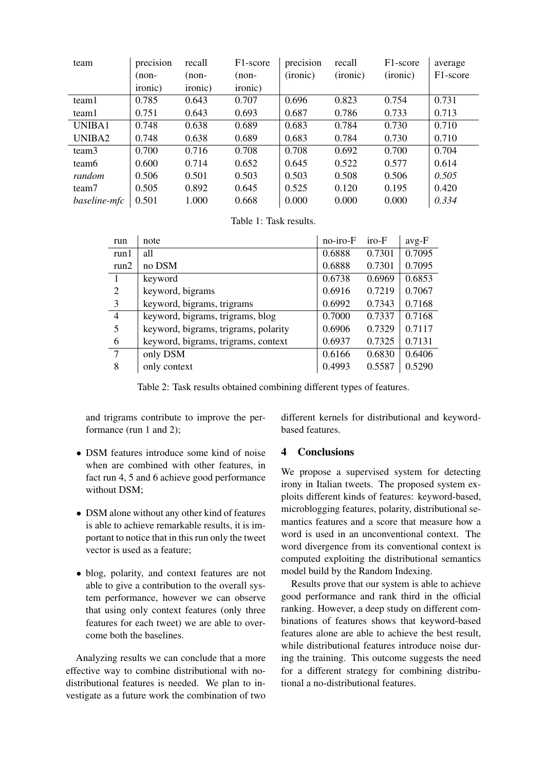| team              | precision | recall  | F <sub>1</sub> -score | precision | recall   | F <sub>1</sub> -score | average  |
|-------------------|-----------|---------|-----------------------|-----------|----------|-----------------------|----------|
|                   | (non-     | $(non-$ | $(non-$               | (ironic)  | (ironic) | (ironic)              | F1-score |
|                   | ironic)   | ironic) | ironic)               |           |          |                       |          |
| team1             | 0.785     | 0.643   | 0.707                 | 0.696     | 0.823    | 0.754                 | 0.731    |
| team1             | 0.751     | 0.643   | 0.693                 | 0.687     | 0.786    | 0.733                 | 0.713    |
| UNIBA1            | 0.748     | 0.638   | 0.689                 | 0.683     | 0.784    | 0.730                 | 0.710    |
| UNIBA2            | 0.748     | 0.638   | 0.689                 | 0.683     | 0.784    | 0.730                 | 0.710    |
| team3             | 0.700     | 0.716   | 0.708                 | 0.708     | 0.692    | 0.700                 | 0.704    |
| team <sub>6</sub> | 0.600     | 0.714   | 0.652                 | 0.645     | 0.522    | 0.577                 | 0.614    |
| random            | 0.506     | 0.501   | 0.503                 | 0.503     | 0.508    | 0.506                 | 0.505    |
| team7             | 0.505     | 0.892   | 0.645                 | 0.525     | 0.120    | 0.195                 | 0.420    |
| baseline-mfc      | 0.501     | 1.000   | 0.668                 | 0.000     | 0.000    | 0.000                 | 0.334    |

Table 1: Task results.

| run            | note                                 | no-iro-F | $i$ ro- $F$ | $avg-F$ |
|----------------|--------------------------------------|----------|-------------|---------|
| run1           | all                                  | 0.6888   | 0.7301      | 0.7095  |
| run2           | no DSM                               | 0.6888   | 0.7301      | 0.7095  |
|                | keyword                              | 0.6738   | 0.6969      | 0.6853  |
| 2              | keyword, bigrams                     | 0.6916   | 0.7219      | 0.7067  |
| 3              | keyword, bigrams, trigrams           | 0.6992   | 0.7343      | 0.7168  |
| $\overline{4}$ | keyword, bigrams, trigrams, blog     | 0.7000   | 0.7337      | 0.7168  |
| 5              | keyword, bigrams, trigrams, polarity | 0.6906   | 0.7329      | 0.7117  |
| 6              | keyword, bigrams, trigrams, context  | 0.6937   | 0.7325      | 0.7131  |
| $\tau$         | only DSM                             | 0.6166   | 0.6830      | 0.6406  |
| 8              | only context                         | 0.4993   | 0.5587      | 0.5290  |

Table 2: Task results obtained combining different types of features.

and trigrams contribute to improve the performance (run 1 and 2);

- DSM features introduce some kind of noise when are combined with other features, in fact run 4, 5 and 6 achieve good performance without DSM;
- DSM alone without any other kind of features is able to achieve remarkable results, it is important to notice that in this run only the tweet vector is used as a feature;
- blog, polarity, and context features are not able to give a contribution to the overall system performance, however we can observe that using only context features (only three features for each tweet) we are able to overcome both the baselines.

Analyzing results we can conclude that a more effective way to combine distributional with nodistributional features is needed. We plan to investigate as a future work the combination of two different kernels for distributional and keywordbased features.

# 4 Conclusions

We propose a supervised system for detecting irony in Italian tweets. The proposed system exploits different kinds of features: keyword-based, microblogging features, polarity, distributional semantics features and a score that measure how a word is used in an unconventional context. The word divergence from its conventional context is computed exploiting the distributional semantics model build by the Random Indexing.

Results prove that our system is able to achieve good performance and rank third in the official ranking. However, a deep study on different combinations of features shows that keyword-based features alone are able to achieve the best result, while distributional features introduce noise during the training. This outcome suggests the need for a different strategy for combining distributional a no-distributional features.